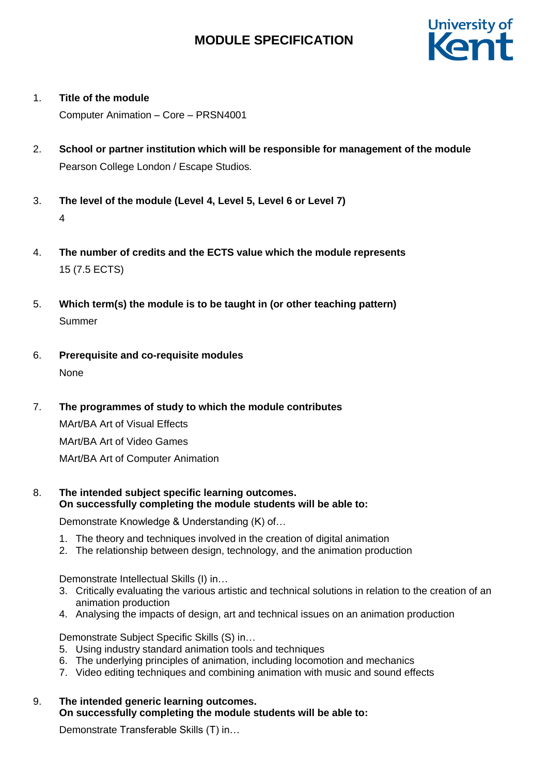# **MODULE SPECIFICATION**



1. **Title of the module**

Computer Animation – Core – PRSN4001

- 2. **School or partner institution which will be responsible for management of the module** Pearson College London / Escape Studios*.*
- 3. **The level of the module (Level 4, Level 5, Level 6 or Level 7)** 4
- 4. **The number of credits and the ECTS value which the module represents**  15 (7.5 ECTS)
- 5. **Which term(s) the module is to be taught in (or other teaching pattern)** Summer
- 6. **Prerequisite and co-requisite modules** None
- 7. **The programmes of study to which the module contributes**

MArt/BA Art of Visual Effects MArt/BA Art of Video Games MArt/BA Art of Computer Animation

8. **The intended subject specific learning outcomes. On successfully completing the module students will be able to:**

Demonstrate Knowledge & Understanding (K) of…

- 1. The theory and techniques involved in the creation of digital animation
- 2. The relationship between design, technology, and the animation production

Demonstrate Intellectual Skills (I) in…

- 3. Critically evaluating the various artistic and technical solutions in relation to the creation of an animation production
- 4. Analysing the impacts of design, art and technical issues on an animation production

Demonstrate Subject Specific Skills (S) in…

- 5. Using industry standard animation tools and techniques
- 6. The underlying principles of animation, including locomotion and mechanics
- 7. Video editing techniques and combining animation with music and sound effects
- 9. **The intended generic learning outcomes. On successfully completing the module students will be able to:**

Demonstrate Transferable Skills (T) in…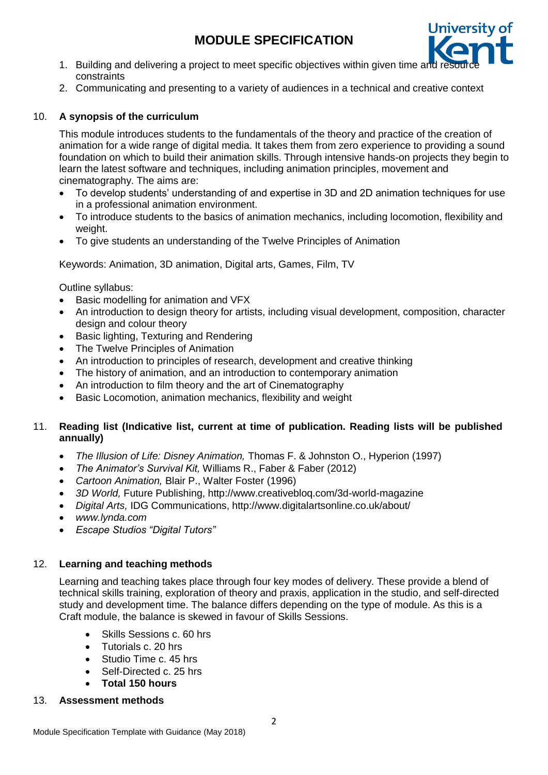# **MODULE SPECIFICATION**



- 1. Building and delivering a project to meet specific objectives within given time and constraints
- 2. Communicating and presenting to a variety of audiences in a technical and creative context

### 10. **A synopsis of the curriculum**

This module introduces students to the fundamentals of the theory and practice of the creation of animation for a wide range of digital media. It takes them from zero experience to providing a sound foundation on which to build their animation skills. Through intensive hands-on projects they begin to learn the latest software and techniques, including animation principles, movement and cinematography. The aims are:

- To develop students' understanding of and expertise in 3D and 2D animation techniques for use in a professional animation environment.
- To introduce students to the basics of animation mechanics, including locomotion, flexibility and weight.
- To give students an understanding of the Twelve Principles of Animation

Keywords: Animation, 3D animation, Digital arts, Games, Film, TV

Outline syllabus:

- Basic modelling for animation and VFX
- An introduction to design theory for artists, including visual development, composition, character design and colour theory
- Basic lighting, Texturing and Rendering
- The Twelve Principles of Animation
- An introduction to principles of research, development and creative thinking
- The history of animation, and an introduction to contemporary animation
- An introduction to film theory and the art of Cinematography
- Basic Locomotion, animation mechanics, flexibility and weight

### 11. **Reading list (Indicative list, current at time of publication. Reading lists will be published annually)**

- *The Illusion of Life: Disney Animation,* Thomas F. & Johnston O., Hyperion (1997)
- *The Animator's Survival Kit,* Williams R., Faber & Faber (2012)
- *Cartoon Animation,* Blair P., Walter Foster (1996)
- *3D World,* Future Publishing, http://www.creativebloq.com/3d-world-magazine
- *Digital Arts,* IDG Communications, http://www.digitalartsonline.co.uk/about/
- *www.lynda.com*
- *Escape Studios "Digital Tutors"*

#### 12. **Learning and teaching methods**

Learning and teaching takes place through four key modes of delivery. These provide a blend of technical skills training, exploration of theory and praxis, application in the studio, and self-directed study and development time. The balance differs depending on the type of module. As this is a Craft module, the balance is skewed in favour of Skills Sessions.

- Skills Sessions c. 60 hrs
- Tutorials c. 20 hrs
- Studio Time c. 45 hrs
- Self-Directed c. 25 hrs
- **Total 150 hours**

#### 13. **Assessment methods**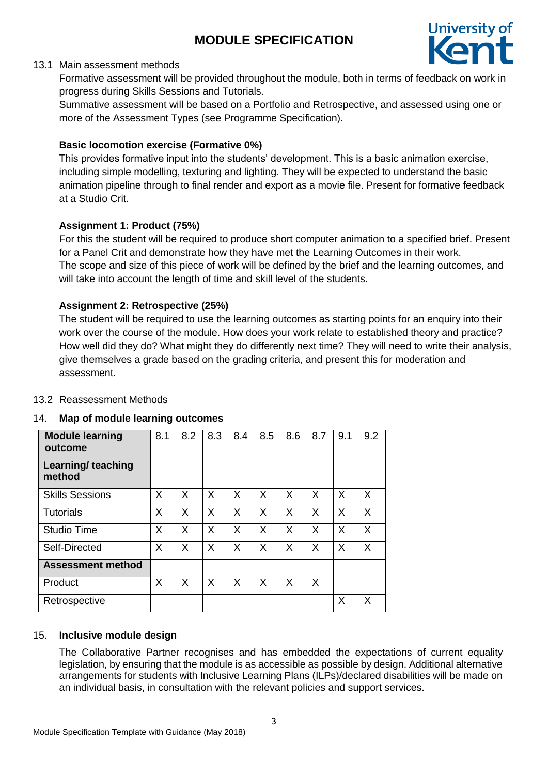

## 13.1 Main assessment methods

Formative assessment will be provided throughout the module, both in terms of feedback on work in progress during Skills Sessions and Tutorials.

Summative assessment will be based on a Portfolio and Retrospective, and assessed using one or more of the Assessment Types (see Programme Specification).

## **Basic locomotion exercise (Formative 0%)**

This provides formative input into the students' development. This is a basic animation exercise, including simple modelling, texturing and lighting. They will be expected to understand the basic animation pipeline through to final render and export as a movie file. Present for formative feedback at a Studio Crit.

## **Assignment 1: Product (75%)**

For this the student will be required to produce short computer animation to a specified brief. Present for a Panel Crit and demonstrate how they have met the Learning Outcomes in their work. The scope and size of this piece of work will be defined by the brief and the learning outcomes, and will take into account the length of time and skill level of the students.

## **Assignment 2: Retrospective (25%)**

The student will be required to use the learning outcomes as starting points for an enquiry into their work over the course of the module. How does your work relate to established theory and practice? How well did they do? What might they do differently next time? They will need to write their analysis, give themselves a grade based on the grading criteria, and present this for moderation and assessment.

## 13.2 Reassessment Methods

## 14. **Map of module learning outcomes**

| <b>Module learning</b><br>outcome | 8.1 | 8.2 | 8.3 | 8.4 | 8.5 | 8.6 | 8.7 | 9.1      | 9.2 |
|-----------------------------------|-----|-----|-----|-----|-----|-----|-----|----------|-----|
| Learning/ teaching<br>method      |     |     |     |     |     |     |     |          |     |
| <b>Skills Sessions</b>            | X   | X   | X   | X   | X   | X   | X   | X        | X   |
| <b>Tutorials</b>                  | X   | X   | X   | X   | X   | X   | X   | X        | X   |
| <b>Studio Time</b>                | X   | X   | X   | X   | X   | X   | X   | $\times$ | X   |
| Self-Directed                     | X   | X   | X   | X   | X   | X   | X   | X        | X   |
| <b>Assessment method</b>          |     |     |     |     |     |     |     |          |     |
| Product                           | X   | X   | X   | X   | X   | X   | X   |          |     |
| Retrospective                     |     |     |     |     |     |     |     | X        | X   |

## 15. **Inclusive module design**

The Collaborative Partner recognises and has embedded the expectations of current equality legislation, by ensuring that the module is as accessible as possible by design. Additional alternative arrangements for students with Inclusive Learning Plans (ILPs)/declared disabilities will be made on an individual basis, in consultation with the relevant policies and support services.